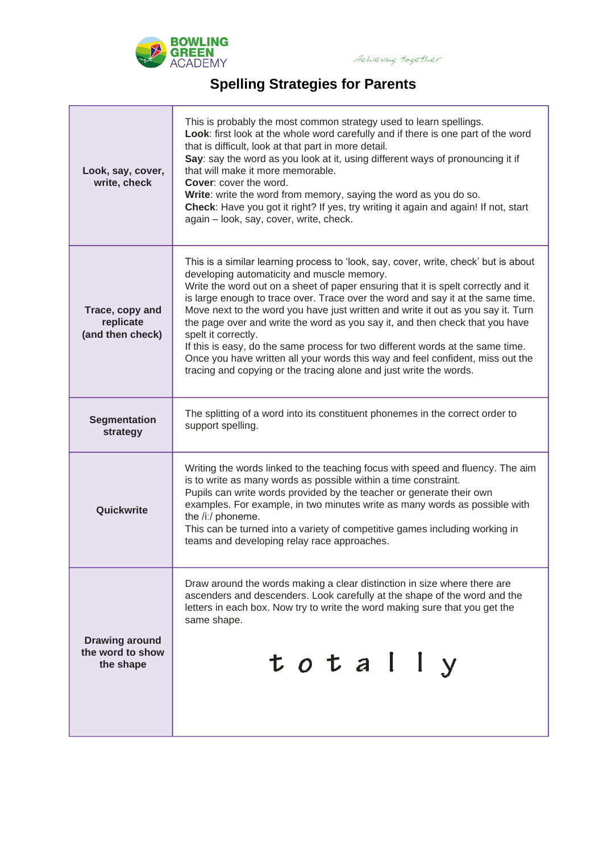

## **Spelling Strategies for Parents**

| Look, say, cover,<br>write, check                      | This is probably the most common strategy used to learn spellings.<br>Look: first look at the whole word carefully and if there is one part of the word<br>that is difficult, look at that part in more detail.<br>Say: say the word as you look at it, using different ways of pronouncing it if<br>that will make it more memorable.<br><b>Cover:</b> cover the word.<br>Write: write the word from memory, saying the word as you do so.<br>Check: Have you got it right? If yes, try writing it again and again! If not, start<br>again - look, say, cover, write, check.                                                                                                                                                                  |
|--------------------------------------------------------|------------------------------------------------------------------------------------------------------------------------------------------------------------------------------------------------------------------------------------------------------------------------------------------------------------------------------------------------------------------------------------------------------------------------------------------------------------------------------------------------------------------------------------------------------------------------------------------------------------------------------------------------------------------------------------------------------------------------------------------------|
| Trace, copy and<br>replicate<br>(and then check)       | This is a similar learning process to 'look, say, cover, write, check' but is about<br>developing automaticity and muscle memory.<br>Write the word out on a sheet of paper ensuring that it is spelt correctly and it<br>is large enough to trace over. Trace over the word and say it at the same time.<br>Move next to the word you have just written and write it out as you say it. Turn<br>the page over and write the word as you say it, and then check that you have<br>spelt it correctly.<br>If this is easy, do the same process for two different words at the same time.<br>Once you have written all your words this way and feel confident, miss out the<br>tracing and copying or the tracing alone and just write the words. |
| <b>Segmentation</b><br>strategy                        | The splitting of a word into its constituent phonemes in the correct order to<br>support spelling.                                                                                                                                                                                                                                                                                                                                                                                                                                                                                                                                                                                                                                             |
| Quickwrite                                             | Writing the words linked to the teaching focus with speed and fluency. The aim<br>is to write as many words as possible within a time constraint.<br>Pupils can write words provided by the teacher or generate their own<br>examples. For example, in two minutes write as many words as possible with<br>the /i:/ phoneme.<br>This can be turned into a variety of competitive games including working in<br>teams and developing relay race approaches.                                                                                                                                                                                                                                                                                     |
| <b>Drawing around</b><br>the word to show<br>the shape | Draw around the words making a clear distinction in size where there are<br>ascenders and descenders. Look carefully at the shape of the word and the<br>letters in each box. Now try to write the word making sure that you get the<br>same shape.<br>totally                                                                                                                                                                                                                                                                                                                                                                                                                                                                                 |